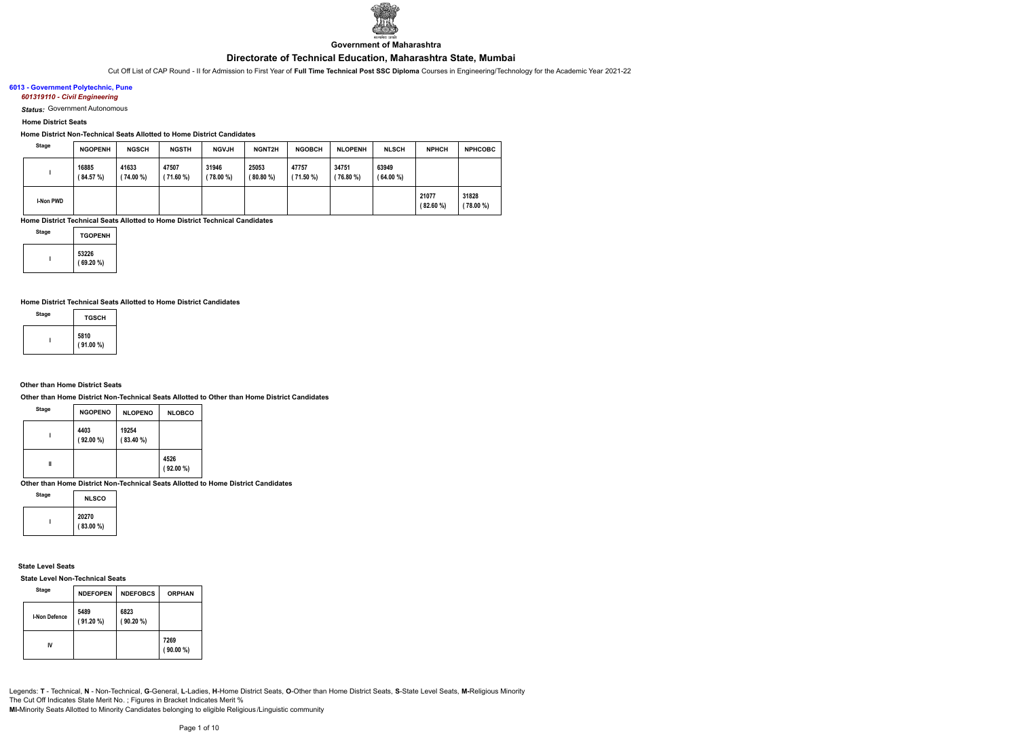

**Government of Maharashtra**

Cut Off List of CAP Round - II for Admission to First Year of **Full Time Technical Post SSC Diploma** Courses in Engineering/Technology for the Academic Year 2021-22

## **6013 - Government Polytechnic, Pune** *601319110 - Civil Engineering*

*Status:* Government Autonomous

 **Home District Seats**

### **Home District Non-Technical Seats Allotted to Home District Candidates**

| Stage            | <b>NGOPENH</b>    | <b>NGSCH</b>         | <b>NGSTH</b>    | <b>NGVJH</b>         | <b>NGNT2H</b>    | <b>NGOBCH</b>   | <b>NLOPENH</b>   | <b>NLSCH</b>         | <b>NPHCH</b>       | <b>NPHCOBC</b>    |
|------------------|-------------------|----------------------|-----------------|----------------------|------------------|-----------------|------------------|----------------------|--------------------|-------------------|
|                  | 16885<br>(84.57%) | 41633<br>$(74.00\%)$ | 47507<br>71.60% | 31946<br>$(78.00\%)$ | 25053<br>(80.80% | 47757<br>71.50% | 34751<br>(76.80% | 63949<br>$(64.00\%)$ |                    |                   |
| <b>I-Non PWD</b> |                   |                      |                 |                      |                  |                 |                  |                      | 21077<br>(82.60 %) | 31828<br>78.00 %) |

**Home District Technical Seats Allotted to Home District Technical Candidates**

| <b>Stage</b> | <b>TGOPENH</b>       |
|--------------|----------------------|
|              | 53226<br>$(69.20\%)$ |

### **Home District Technical Seats Allotted to Home District Candidates**

| Stage | TGSCH            |
|-------|------------------|
|       | 5810<br>(91.00 % |

### **Other than Home District Seats**

### **Other than Home District Non-Technical Seats Allotted to Other than Home District Candidates**

| <b>Stage</b> | <b>NGOPENO</b>    | <b>NLOPENO</b>       | <b>NLOBCO</b>       |
|--------------|-------------------|----------------------|---------------------|
|              | 4403<br>(92.00 %) | 19254<br>$(83.40\%)$ |                     |
| Ш            |                   |                      | 4526<br>$(92.00\%)$ |

**Other than Home District Non-Technical Seats Allotted to Home District Candidates**

| Stage | <b>NLSCO</b>         |
|-------|----------------------|
|       | 20270<br>$(83.00\%)$ |

### **State Level Seats**

**State Level Non-Technical Seats**

| <b>Stage</b>         | <b>NDEFOPEN</b>     | <b>NDEFOBCS</b>     | <b>ORPHAN</b>       |
|----------------------|---------------------|---------------------|---------------------|
| <b>I-Non Defence</b> | 5489<br>$(91.20\%)$ | 6823<br>$(90.20\%)$ |                     |
| IV                   |                     |                     | 7269<br>$(90.00\%)$ |

Legends: **T** - Technical, **N** - Non-Technical, **G**-General, **L**-Ladies, **H**-Home District Seats, **O**-Other than Home District Seats, **S**-State Level Seats, **M-**Religious Minority The Cut Off Indicates State Merit No. ; Figures in Bracket Indicates Merit %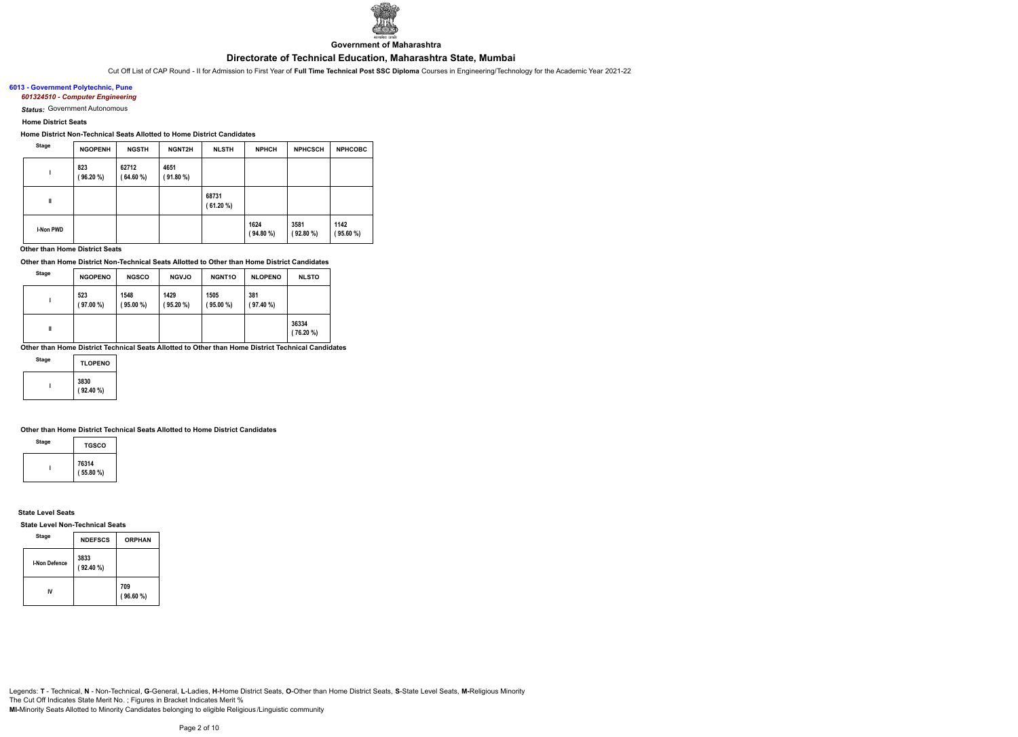

**Government of Maharashtra**

Cut Off List of CAP Round - II for Admission to First Year of **Full Time Technical Post SSC Diploma** Courses in Engineering/Technology for the Academic Year 2021-22

## **6013 - Government Polytechnic, Pune** *601324510 - Computer Engineering*

*Status:* Government Autonomous

### **Home District Seats**

#### **Home District Non-Technical Seats Allotted to Home District Candidates**

| <b>Stage</b> | <b>NGOPENH</b>    | <b>NGSTH</b>       | <b>NGNT2H</b>       | <b>NLSTH</b>         | <b>NPHCH</b>    | <b>NPHCSCH</b>      | <b>NPHCOBC</b>      |
|--------------|-------------------|--------------------|---------------------|----------------------|-----------------|---------------------|---------------------|
|              | 823<br>$96.20 \%$ | 62712<br>(64.60 %) | 4651<br>$(91.80\%)$ |                      |                 |                     |                     |
| $\mathbf{I}$ |                   |                    |                     | 68731<br>$(61.20\%)$ |                 |                     |                     |
| I-Non PWD    |                   |                    |                     |                      | 1624<br>(94.80% | 3581<br>$(92.80\%)$ | 1142<br>$(95.60\%)$ |

### **Other than Home District Seats**

### **Other than Home District Non-Technical Seats Allotted to Other than Home District Candidates**

| Stage | <b>NGOPENO</b>   | <b>NGSCO</b>       | <b>NGVJO</b>       | <b>NGNT10</b>       | <b>NLOPENO</b>   | <b>NLSTO</b>         |
|-------|------------------|--------------------|--------------------|---------------------|------------------|----------------------|
|       | 523<br>(97.00 %) | 1548<br>$95.00 \%$ | 1429<br>$95.20 \%$ | 1505<br>$(95.00\%)$ | 381<br>(97.40 %) |                      |
| Ш     |                  |                    |                    |                     |                  | 36334<br>$(76.20\%)$ |

### **Other than Home District Technical Seats Allotted to Other than Home District Technical Candidates**

| <b>Stage</b> | <b>TLOPENO</b>      |
|--------------|---------------------|
|              | 3830<br>$(92.40\%)$ |

#### **Other than Home District Technical Seats Allotted to Home District Candidates**

| Stage | <b>TGSCO</b>     |
|-------|------------------|
|       | 76314<br>(55.80% |

### **State Level Seats**

### **State Level Non-Technical Seats**

| Stage         | <b>NDEFSCS</b>   | <b>ORPHAN</b>   |
|---------------|------------------|-----------------|
| I-Non Defence | 3833<br>(92.40%) |                 |
| IV            |                  | 709<br>(96.60%) |

Legends: **T** - Technical, **N** - Non-Technical, **G**-General, **L**-Ladies, **H**-Home District Seats, **O**-Other than Home District Seats, **S**-State Level Seats, **M-**Religious Minority The Cut Off Indicates State Merit No. ; Figures in Bracket Indicates Merit %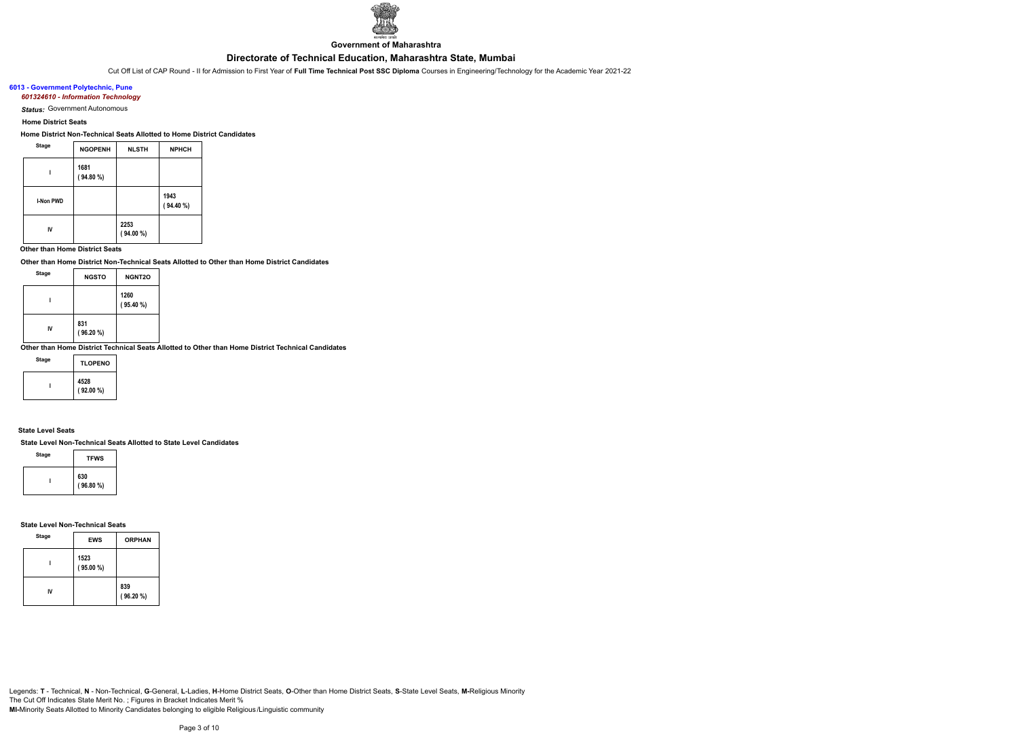

**Government of Maharashtra**

Cut Off List of CAP Round - II for Admission to First Year of **Full Time Technical Post SSC Diploma** Courses in Engineering/Technology for the Academic Year 2021-22

## **6013 - Government Polytechnic, Pune** *601324610 - Information Technology*

*Status:* Government Autonomous

## **Home District Seats**

### **Home District Non-Technical Seats Allotted to Home District Candidates**

| <b>Stage</b> | <b>NGOPENH</b>  | <b>NLSTH</b>     | <b>NPHCH</b>        |
|--------------|-----------------|------------------|---------------------|
|              | 1681<br>(94.80% |                  |                     |
| I-Non PWD    |                 |                  | 1943<br>$(94.40\%)$ |
| IV           |                 | 2253<br>(94.00 % |                     |

## **Other than Home District Seats**

**Other than Home District Non-Technical Seats Allotted to Other than Home District Candidates**

| <b>Stage</b> | <b>NGSTO</b>       | <b>NGNT2O</b>   |
|--------------|--------------------|-----------------|
|              |                    | 1260<br>(95.40% |
| IV           | 831<br>$(96.20\%)$ |                 |

**Other than Home District Technical Seats Allotted to Other than Home District Technical Candidates**

| Stage | <b>TLOPENO</b>    |
|-------|-------------------|
|       | 4528<br>(92.00 %) |

## **State Level Seats**

**State Level Non-Technical Seats Allotted to State Level Candidates**

| Stage | <b>TFWS</b>        |
|-------|--------------------|
|       | 630<br>$(96.80\%)$ |

## **State Level Non-Technical Seats**

| <b>Stage</b> | <b>EWS</b>        | <b>ORPHAN</b>      |
|--------------|-------------------|--------------------|
|              | 1523<br>(95.00 %) |                    |
| IV           |                   | 839<br>$(96.20\%)$ |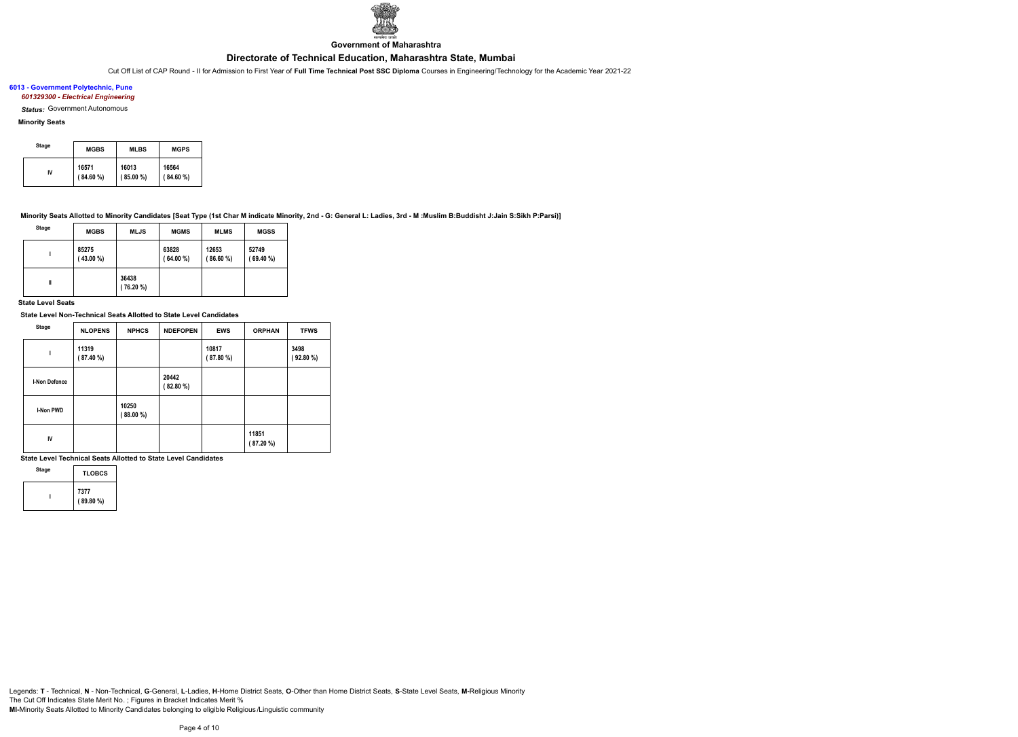

**Government of Maharashtra**

Cut Off List of CAP Round - II for Admission to First Year of **Full Time Technical Post SSC Diploma** Courses in Engineering/Technology for the Academic Year 2021-22

## **6013 - Government Polytechnic, Pune** *601329300 - Electrical Engineering*

*Status:* Government Autonomous

### **Minority Seats**

| <b>Stage</b> | <b>MGBS</b> | <b>MLBS</b> | <b>MGPS</b> |
|--------------|-------------|-------------|-------------|
| IV           | 16571       | 16013       | 16564       |
|              | $(84.60\%)$ | (85.00 %)   | (84.60%)    |

**Minority Seats Allotted to Minority Candidates [Seat Type (1st Char M indicate Minority, 2nd - G: General L: Ladies, 3rd - M :Muslim B:Buddisht J:Jain S:Sikh P:Parsi)]**

| Stage | <b>MGBS</b>          | <b>MLJS</b>          | <b>MGMS</b>          | <b>MLMS</b>          | <b>MGSS</b>       |
|-------|----------------------|----------------------|----------------------|----------------------|-------------------|
|       | 85275<br>$(43.00\%)$ |                      | 63828<br>$(64.00\%)$ | 12653<br>$(86.60\%)$ | 52749<br>(69.40%) |
| Ш     |                      | 36438<br>$(76.20\%)$ |                      |                      |                   |

### **State Level Seats**

**State Level Non-Technical Seats Allotted to State Level Candidates**

| <b>Stage</b>         | <b>NLOPENS</b>      | <b>NPHCS</b>       | <b>NDEFOPEN</b>      | <b>EWS</b>       | <b>ORPHAN</b>        | <b>TFWS</b>         |
|----------------------|---------------------|--------------------|----------------------|------------------|----------------------|---------------------|
| ı                    | 11319<br>( 87.40 %) |                    |                      | 10817<br>(87.80% |                      | 3498<br>$(92.80\%)$ |
| <b>I-Non Defence</b> |                     |                    | 20442<br>$(82.80\%)$ |                  |                      |                     |
| I-Non PWD            |                     | 10250<br>(88.00 %) |                      |                  |                      |                     |
| IV                   |                     |                    |                      |                  | 11851<br>$(87.20\%)$ |                     |

**State Level Technical Seats Allotted to State Level Candidates**

| Stage | <b>TLOBCS</b>   |
|-------|-----------------|
|       | 7377<br>(89.80% |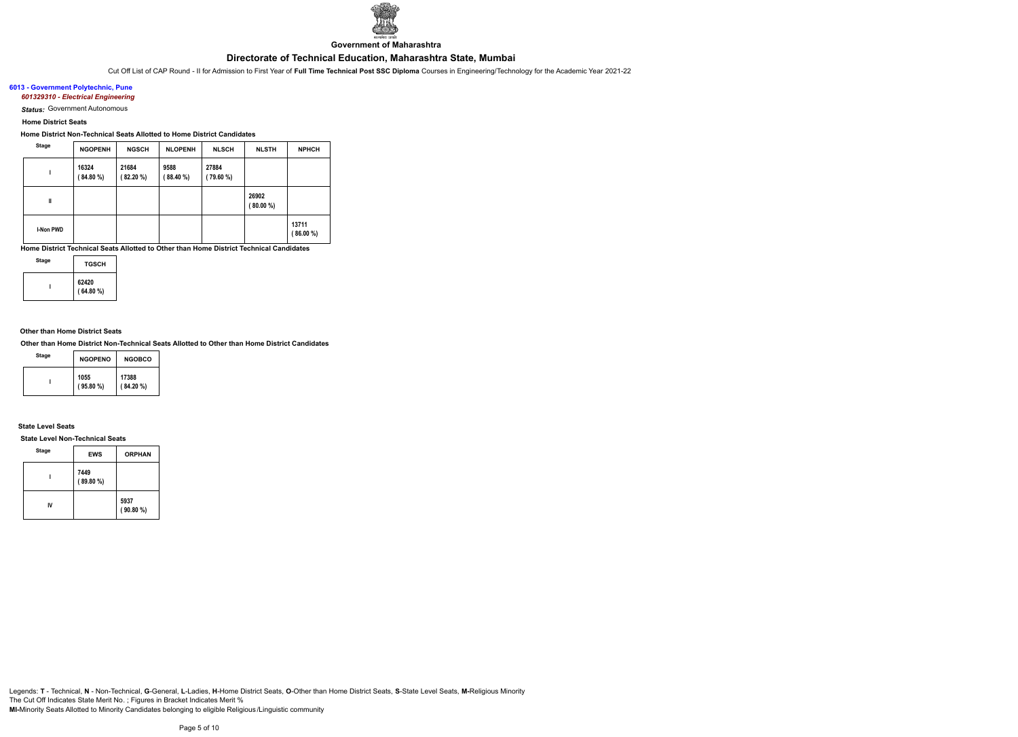

**Government of Maharashtra**

Cut Off List of CAP Round - II for Admission to First Year of **Full Time Technical Post SSC Diploma** Courses in Engineering/Technology for the Academic Year 2021-22

## **6013 - Government Polytechnic, Pune** *601329310 - Electrical Engineering*

*Status:* Government Autonomous

### **Home District Seats**

**Home District Non-Technical Seats Allotted to Home District Candidates**

| <b>Stage</b> | <b>NGOPENH</b>       | <b>NGSCH</b>     | <b>NLOPENH</b>      | <b>NLSCH</b>         | <b>NLSTH</b>       | <b>NPHCH</b>         |
|--------------|----------------------|------------------|---------------------|----------------------|--------------------|----------------------|
|              | 16324<br>$(84.80\%)$ | 21684<br>82.20 % | 9588<br>$(88.40\%)$ | 27884<br>$(79.60\%)$ |                    |                      |
| Ш            |                      |                  |                     |                      | 26902<br>(80.00 %) |                      |
| I-Non PWD    |                      |                  |                     |                      |                    | 13711<br>$(86.00\%)$ |

**Home District Technical Seats Allotted to Other than Home District Technical Candidates**

| Stage | TGSCH                |
|-------|----------------------|
|       | 62420<br>$(64.80\%)$ |

#### **Other than Home District Seats**

**Other than Home District Non-Technical Seats Allotted to Other than Home District Candidates**

| Stage | <b>NGOPENO</b>  | <b>NGOBCO</b>        |
|-------|-----------------|----------------------|
|       | 1055<br>(95.80% | 17388<br>$(84.20\%)$ |

#### **State Level Seats**

**State Level Non-Technical Seats**

| <b>Stage</b> | <b>EWS</b>      | <b>ORPHAN</b>   |
|--------------|-----------------|-----------------|
|              | 7449<br>(89.80% |                 |
| IV           |                 | 5937<br>(90.80% |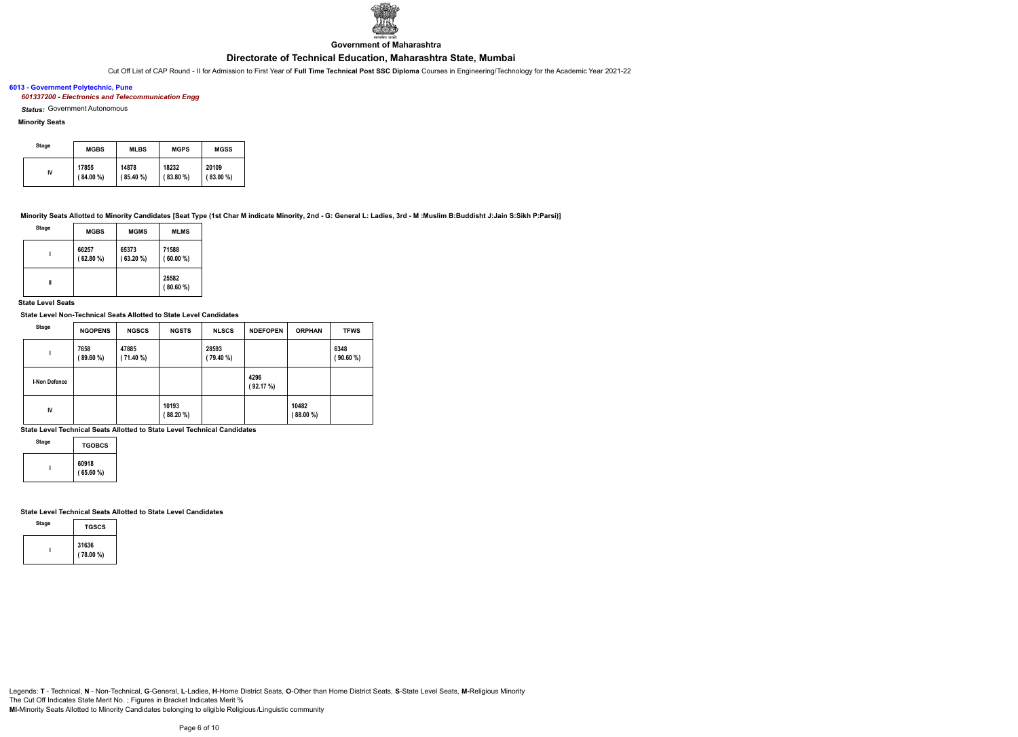

## **Government of Maharashtra**

Cut Off List of CAP Round - II for Admission to First Year of **Full Time Technical Post SSC Diploma** Courses in Engineering/Technology for the Academic Year 2021-22

# **6013 - Government Polytechnic, Pune**

# *601337200 - Electronics and Telecommunication Engg*

*Status:* Government Autonomous

## **Minority Seats**

| <b>Stage</b> | <b>MGBS</b> | <b>MLBS</b> | <b>MGPS</b> | MGSS        |  |
|--------------|-------------|-------------|-------------|-------------|--|
| IV           | 17855       | 14878       | 18232       | 20109       |  |
|              | $(84.00\%)$ | (85.40%     | (83.80%     | $(83.00\%)$ |  |

**Minority Seats Allotted to Minority Candidates [Seat Type (1st Char M indicate Minority, 2nd - G: General L: Ladies, 3rd - M :Muslim B:Buddisht J:Jain S:Sikh P:Parsi)]**

| <b>Stage</b> | <b>MGBS</b>        | <b>MGMS</b>          | <b>MLMS</b>          |
|--------------|--------------------|----------------------|----------------------|
|              | 66257<br>(62.80 %) | 65373<br>$(63.20\%)$ | 71588<br>$(60.00\%)$ |
| Ш            |                    |                      | 25582<br>$(80.60\%)$ |

### **State Level Seats**

**State Level Non-Technical Seats Allotted to State Level Candidates**

| <b>Stage</b>         | <b>NGOPENS</b>   | <b>NGSCS</b>         | <b>NGSTS</b>         | <b>NLSCS</b>         | <b>NDEFOPEN</b>  | <b>ORPHAN</b>        | <b>TFWS</b>       |
|----------------------|------------------|----------------------|----------------------|----------------------|------------------|----------------------|-------------------|
|                      | 7658<br>89.60 %) | 47885<br>$(71.40\%)$ |                      | 28593<br>$(79.40\%)$ |                  |                      | 6348<br>(90.60 %) |
| <b>I-Non Defence</b> |                  |                      |                      |                      | 4296<br>(92.17%) |                      |                   |
| IV                   |                  |                      | 10193<br>$(88.20\%)$ |                      |                  | 10482<br>$(88.00\%)$ |                   |

**State Level Technical Seats Allotted to State Level Technical Candidates**

| <b>Stage</b> | <b>TGOBCS</b>    |
|--------------|------------------|
|              | 60918<br>(65.60% |

### **State Level Technical Seats Allotted to State Level Candidates**

| Stage | <b>TGSCS</b>       |
|-------|--------------------|
|       | 31636<br>(78.00 %) |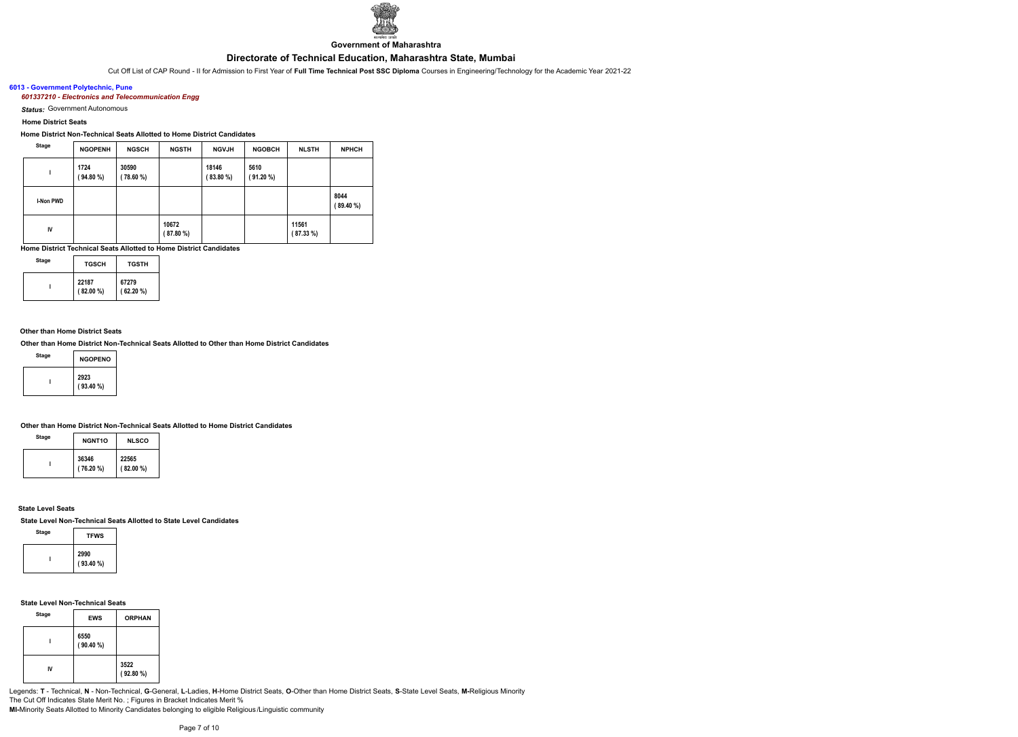

**Government of Maharashtra**

Cut Off List of CAP Round - II for Admission to First Year of **Full Time Technical Post SSC Diploma** Courses in Engineering/Technology for the Academic Year 2021-22

## **6013 - Government Polytechnic, Pune**

### *601337210 - Electronics and Telecommunication Engg*

*Status:* Government Autonomous

### **Home District Seats**

#### **Home District Non-Technical Seats Allotted to Home District Candidates**

| <b>Stage</b>     | <b>NGOPENH</b> | <b>NGSCH</b>         | <b>NGSTH</b>         | <b>NGVJH</b>     | <b>NGOBCH</b>       | <b>NLSTH</b>      | <b>NPHCH</b>        |
|------------------|----------------|----------------------|----------------------|------------------|---------------------|-------------------|---------------------|
|                  | 1724<br>94.80% | 30590<br>$(78.60\%)$ |                      | 18146<br>(83.80% | 5610<br>$(91.20\%)$ |                   |                     |
| <b>I-Non PWD</b> |                |                      |                      |                  |                     |                   | 8044<br>$(89.40\%)$ |
| IV               |                |                      | 10672<br>$(87.80\%)$ |                  |                     | 11561<br>(87.33%) |                     |

**Home District Technical Seats Allotted to Home District Candidates**

| <b>Stage</b> | <b>TGSCH</b>          | <b>TGSTH</b>      |  |  |
|--------------|-----------------------|-------------------|--|--|
|              | 22187<br>$(82.00\% )$ | 67279<br>(62.20%) |  |  |

#### **Other than Home District Seats**

#### **Other than Home District Non-Technical Seats Allotted to Other than Home District Candidates**

| Stage | <b>NGOPENO</b>  |
|-------|-----------------|
|       | 2923<br>(93.40% |

### **Other than Home District Non-Technical Seats Allotted to Home District Candidates**

| Stage | <b>NGNT10</b>        | <b>NLSCO</b>       |  |  |
|-------|----------------------|--------------------|--|--|
|       | 36346<br>$(76.20\%)$ | 22565<br>(82.00 %) |  |  |

## **State Level Seats**

**State Level Non-Technical Seats Allotted to State Level Candidates**

| Stage | <b>TFWS</b>     |
|-------|-----------------|
|       | 2990<br>(93.40% |

### **State Level Non-Technical Seats**

| <b>Stage</b> | <b>EWS</b>      | <b>ORPHAN</b>   |
|--------------|-----------------|-----------------|
|              | 6550<br>(90.40% |                 |
| IV           |                 | 3522<br>(92.80% |

Legends: **T** - Technical, **N** - Non-Technical, **G**-General, **L**-Ladies, **H**-Home District Seats, **O**-Other than Home District Seats, **S**-State Level Seats, **M-**Religious Minority The Cut Off Indicates State Merit No. ; Figures in Bracket Indicates Merit %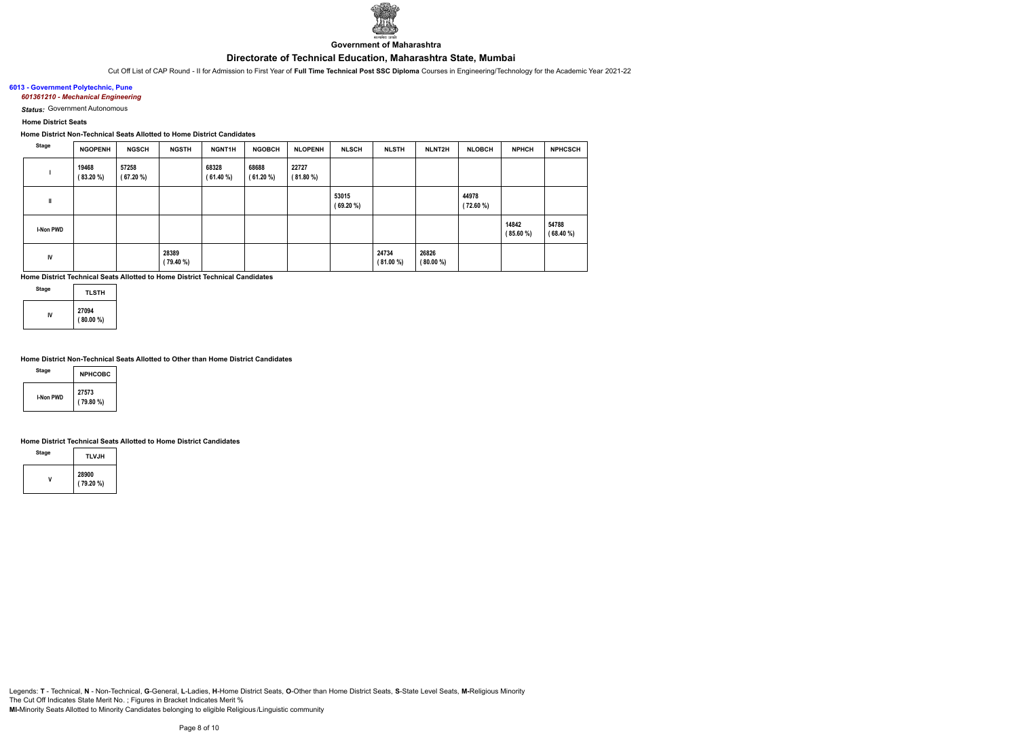

## **Government of Maharashtra**

Cut Off List of CAP Round - II for Admission to First Year of **Full Time Technical Post SSC Diploma** Courses in Engineering/Technology for the Academic Year 2021-22

## **6013 - Government Polytechnic, Pune** *601361210 - Mechanical Engineering*

*Status:* Government Autonomous

### **Home District Seats**

### **Home District Non-Technical Seats Allotted to Home District Candidates**

| <b>Stage</b> | <b>NGOPENH</b>       | <b>NGSCH</b>         | <b>NGSTH</b>         | <b>NGNT1H</b>        | <b>NGOBCH</b>        | <b>NLOPENH</b>       | <b>NLSCH</b>         | <b>NLSTH</b>         | NLNT2H               | <b>NLOBCH</b>        | <b>NPHCH</b>         | <b>NPHCSCH</b>       |
|--------------|----------------------|----------------------|----------------------|----------------------|----------------------|----------------------|----------------------|----------------------|----------------------|----------------------|----------------------|----------------------|
|              | 19468<br>$(83.20\%)$ | 57258<br>$(67.20\%)$ |                      | 68328<br>$(61.40\%)$ | 68688<br>$(61.20\%)$ | 22727<br>$(81.80\%)$ |                      |                      |                      |                      |                      |                      |
| Ш            |                      |                      |                      |                      |                      |                      | 53015<br>$(69.20\%)$ |                      |                      | 44978<br>$(72.60\%)$ |                      |                      |
| I-Non PWD    |                      |                      |                      |                      |                      |                      |                      |                      |                      |                      | 14842<br>$(85.60\%)$ | 54788<br>$(68.40\%)$ |
| IV           |                      |                      | 28389<br>$(79.40\%)$ |                      |                      |                      |                      | 24734<br>$(81.00\%)$ | 26826<br>$(80.00\%)$ |                      |                      |                      |

**Home District Technical Seats Allotted to Home District Technical Candidates**

| <b>Stage</b> | TLSTH              |
|--------------|--------------------|
| IV           | 27094<br>(80.00 %) |

#### **Home District Non-Technical Seats Allotted to Other than Home District Candidates**

| Stage            | <b>NPHCOBC</b>       |
|------------------|----------------------|
| <b>I-Non PWD</b> | 27573<br>$(79.80\%)$ |

#### **Home District Technical Seats Allotted to Home District Candidates**

| Stage | <b>TLVJH</b>         |
|-------|----------------------|
|       | 28900<br>$(79.20\%)$ |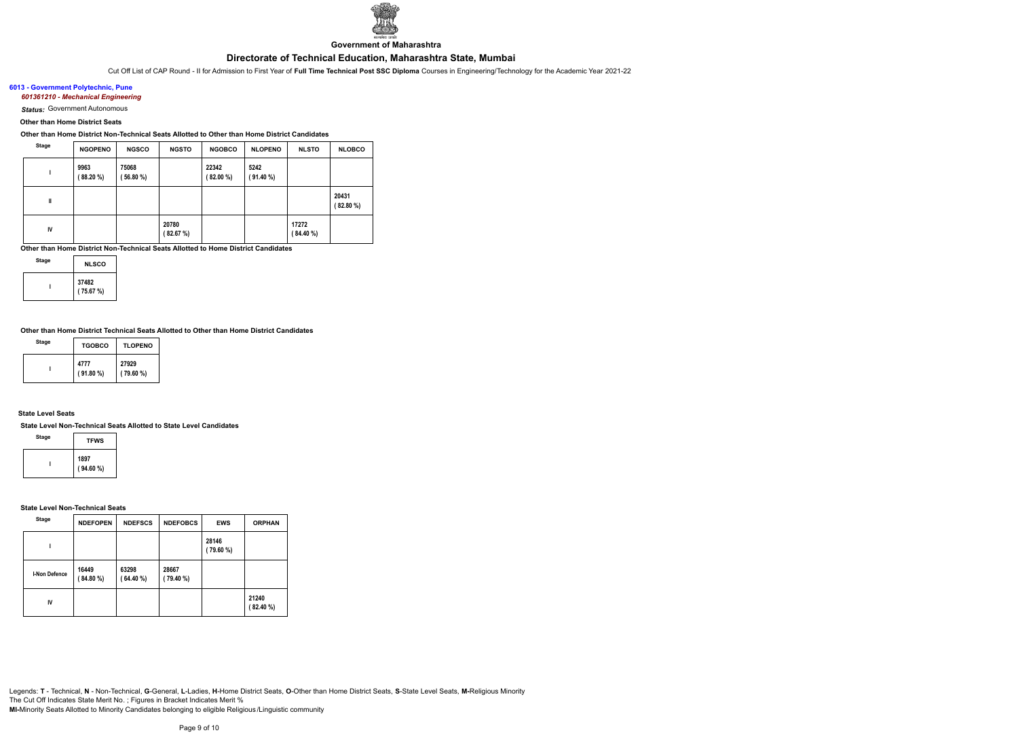

**Government of Maharashtra**

Cut Off List of CAP Round - II for Admission to First Year of **Full Time Technical Post SSC Diploma** Courses in Engineering/Technology for the Academic Year 2021-22

## **6013 - Government Polytechnic, Pune** *601361210 - Mechanical Engineering*

*Status:* Government Autonomous

# **Other than Home District Seats**

**Other than Home District Non-Technical Seats Allotted to Other than Home District Candidates**

| Stage | <b>NGOPENO</b>      | <b>NGSCO</b>     | <b>NGSTO</b>      | <b>NGOBCO</b>        | <b>NLOPENO</b>    | <b>NLSTO</b>      | <b>NLOBCO</b>        |
|-------|---------------------|------------------|-------------------|----------------------|-------------------|-------------------|----------------------|
|       | 9963<br>$(88.20\%)$ | 75068<br>(56.80% |                   | 22342<br>$(82.00\%)$ | 5242<br>(91.40 %) |                   |                      |
| Ш     |                     |                  |                   |                      |                   |                   | 20431<br>$(82.80\%)$ |
| IV    |                     |                  | 20780<br>(82.67%) |                      |                   | 17272<br>(84.40%) |                      |

**Other than Home District Non-Technical Seats Allotted to Home District Candidates**

| Stage | <b>NLSCO</b>      |
|-------|-------------------|
|       | 37482<br>(75.67%) |

**Other than Home District Technical Seats Allotted to Other than Home District Candidates**

| <b>Stage</b> | <b>TGOBCO</b>   | <b>TLOPENO</b>   |  |
|--------------|-----------------|------------------|--|
|              | 4777<br>(91.80% | 27929<br>(79.60% |  |

## **State Level Seats**

**State Level Non-Technical Seats Allotted to State Level Candidates**

| Stage | <b>TFWS</b>     |
|-------|-----------------|
|       | 1897<br>(94.60% |

**State Level Non-Technical Seats**

| <b>Stage</b>         | <b>NDEFOPEN</b>  | <b>NDEFSCS</b>    | <b>NDEFOBCS</b>      | <b>EWS</b>       | <b>ORPHAN</b>     |
|----------------------|------------------|-------------------|----------------------|------------------|-------------------|
|                      |                  |                   |                      | 28146<br>(79.60% |                   |
| <b>I-Non Defence</b> | 16449<br>(84.80% | 63298<br>64.40 %) | 28667<br>$(79.40\%)$ |                  |                   |
| IV                   |                  |                   |                      |                  | 21240<br>(82.40%) |

Legends: **T** - Technical, **N** - Non-Technical, **G**-General, **L**-Ladies, **H**-Home District Seats, **O**-Other than Home District Seats, **S**-State Level Seats, **M-**Religious Minority The Cut Off Indicates State Merit No. ; Figures in Bracket Indicates Merit %